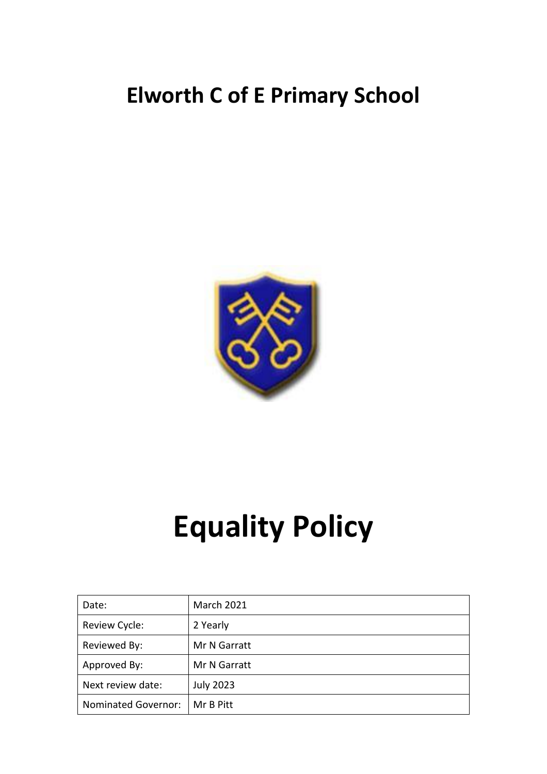# **Elworth C of E Primary School**



# **Equality Policy**

| Date:                      | <b>March 2021</b> |
|----------------------------|-------------------|
| Review Cycle:              | 2 Yearly          |
| Reviewed By:               | Mr N Garratt      |
| Approved By:               | Mr N Garratt      |
| Next review date:          | <b>July 2023</b>  |
| <b>Nominated Governor:</b> | Mr B Pitt         |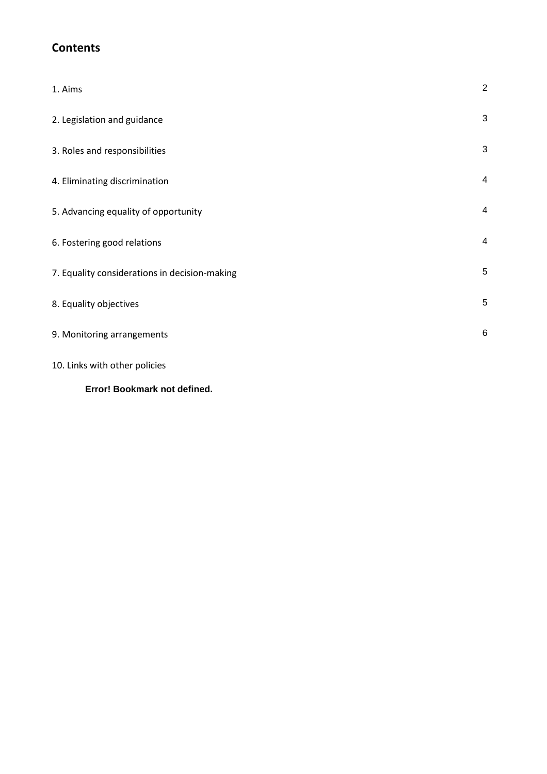# **Contents**

| 1. Aims                                       | $\sqrt{2}$     |
|-----------------------------------------------|----------------|
| 2. Legislation and guidance                   | 3              |
| 3. Roles and responsibilities                 | 3              |
| 4. Eliminating discrimination                 | $\overline{4}$ |
| 5. Advancing equality of opportunity          | 4              |
| 6. Fostering good relations                   | 4              |
| 7. Equality considerations in decision-making | 5              |
| 8. Equality objectives                        | 5              |
| 9. Monitoring arrangements                    | 6              |
| 10. Links with other policies                 |                |

#### **Error! Bookmark not defined.**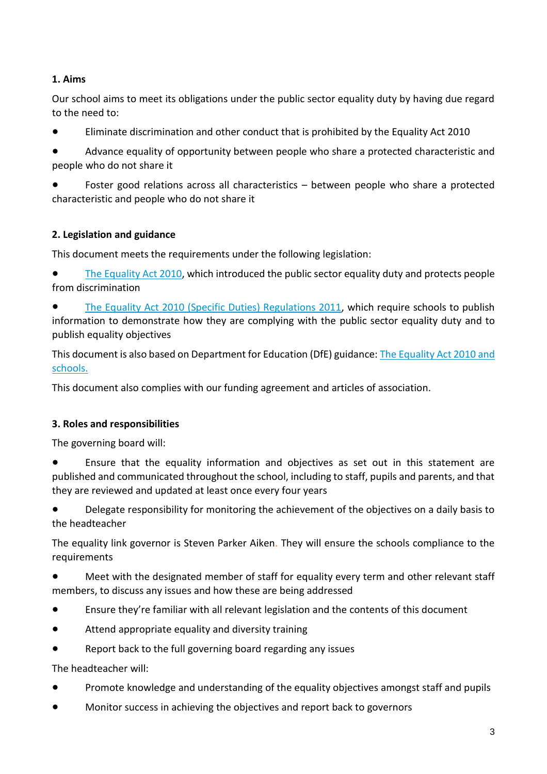## **1. Aims**

Our school aims to meet its obligations under the public sector equality duty by having due regard to the need to:

Eliminate discrimination and other conduct that is prohibited by the Equality Act 2010

● Advance equality of opportunity between people who share a protected characteristic and people who do not share it

Foster good relations across all characteristics – between people who share a protected characteristic and people who do not share it

### **2. Legislation and guidance**

This document meets the requirements under the following legislation:

● [The Equality Act 2010,](http://www.legislation.gov.uk/ukpga/2010/15/contents) which introduced the public sector equality duty and protects people from discrimination

[The Equality Act 2010 \(Specific Duties\) Regulations 2011,](http://www.legislation.gov.uk/uksi/2011/2260/contents/made) which require schools to publish information to demonstrate how they are complying with the public sector equality duty and to publish equality objectives

This document is also based on Department for Education (DfE) guidance: [The Equality Act 2010](https://www.gov.uk/government/uploads/system/uploads/attachment_data/file/315587/Equality_Act_Advice_Final.pdf) and [schools.](https://www.gov.uk/government/uploads/system/uploads/attachment_data/file/315587/Equality_Act_Advice_Final.pdf) 

This document also complies with our funding agreement and articles of association.

#### **3. Roles and responsibilities**

The governing board will:

● Ensure that the equality information and objectives as set out in this statement are published and communicated throughout the school, including to staff, pupils and parents, and that they are reviewed and updated at least once every four years

Delegate responsibility for monitoring the achievement of the objectives on a daily basis to the headteacher

The equality link governor is Steven Parker Aiken. They will ensure the schools compliance to the requirements

● Meet with the designated member of staff for equality every term and other relevant staff members, to discuss any issues and how these are being addressed

- Ensure they're familiar with all relevant legislation and the contents of this document
- Attend appropriate equality and diversity training
- Report back to the full governing board regarding any issues

The headteacher will:

- Promote knowledge and understanding of the equality objectives amongst staff and pupils
- Monitor success in achieving the objectives and report back to governors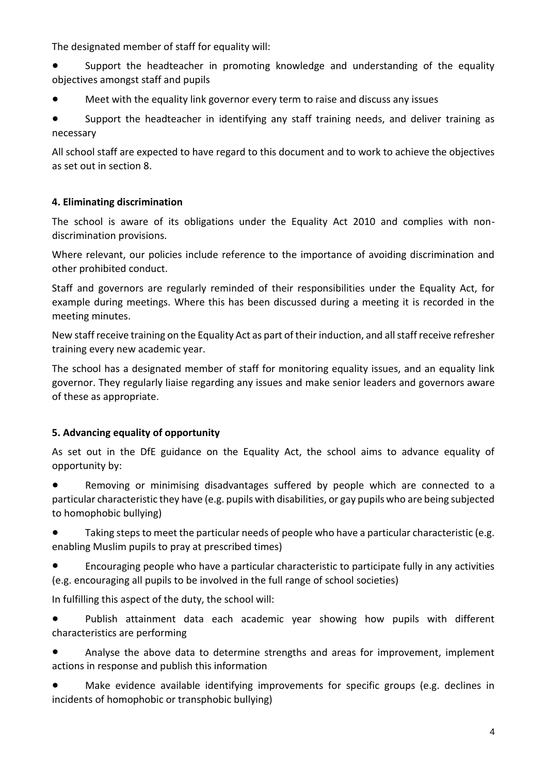The designated member of staff for equality will:

- Support the headteacher in promoting knowledge and understanding of the equality objectives amongst staff and pupils
- Meet with the equality link governor every term to raise and discuss any issues

● Support the headteacher in identifying any staff training needs, and deliver training as necessary

All school staff are expected to have regard to this document and to work to achieve the objectives as set out in section 8.

#### **4. Eliminating discrimination**

The school is aware of its obligations under the Equality Act 2010 and complies with nondiscrimination provisions.

Where relevant, our policies include reference to the importance of avoiding discrimination and other prohibited conduct.

Staff and governors are regularly reminded of their responsibilities under the Equality Act, for example during meetings. Where this has been discussed during a meeting it is recorded in the meeting minutes.

New staff receive training on the Equality Act as part of their induction, and all staff receive refresher training every new academic year.

The school has a designated member of staff for monitoring equality issues, and an equality link governor. They regularly liaise regarding any issues and make senior leaders and governors aware of these as appropriate.

#### **5. Advancing equality of opportunity**

As set out in the DfE guidance on the Equality Act, the school aims to advance equality of opportunity by:

Removing or minimising disadvantages suffered by people which are connected to a particular characteristic they have (e.g. pupils with disabilities, or gay pupils who are being subjected to homophobic bullying)

Taking steps to meet the particular needs of people who have a particular characteristic (e.g. enabling Muslim pupils to pray at prescribed times)

● Encouraging people who have a particular characteristic to participate fully in any activities (e.g. encouraging all pupils to be involved in the full range of school societies)

In fulfilling this aspect of the duty, the school will:

● Publish attainment data each academic year showing how pupils with different characteristics are performing

Analyse the above data to determine strengths and areas for improvement, implement actions in response and publish this information

● Make evidence available identifying improvements for specific groups (e.g. declines in incidents of homophobic or transphobic bullying)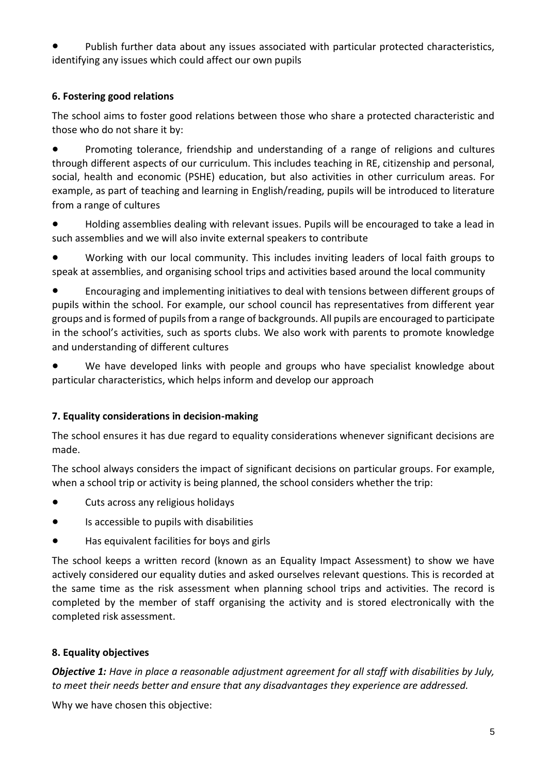Publish further data about any issues associated with particular protected characteristics, identifying any issues which could affect our own pupils

#### **6. Fostering good relations**

The school aims to foster good relations between those who share a protected characteristic and those who do not share it by:

● Promoting tolerance, friendship and understanding of a range of religions and cultures through different aspects of our curriculum. This includes teaching in RE, citizenship and personal, social, health and economic (PSHE) education, but also activities in other curriculum areas. For example, as part of teaching and learning in English/reading, pupils will be introduced to literature from a range of cultures

● Holding assemblies dealing with relevant issues. Pupils will be encouraged to take a lead in such assemblies and we will also invite external speakers to contribute

● Working with our local community. This includes inviting leaders of local faith groups to speak at assemblies, and organising school trips and activities based around the local community

● Encouraging and implementing initiatives to deal with tensions between different groups of pupils within the school. For example, our school council has representatives from different year groups and is formed of pupils from a range of backgrounds. All pupils are encouraged to participate in the school's activities, such as sports clubs. We also work with parents to promote knowledge and understanding of different cultures

We have developed links with people and groups who have specialist knowledge about particular characteristics, which helps inform and develop our approach

#### **7. Equality considerations in decision-making**

The school ensures it has due regard to equality considerations whenever significant decisions are made.

The school always considers the impact of significant decisions on particular groups. For example, when a school trip or activity is being planned, the school considers whether the trip:

- Cuts across any religious holidays
- Is accessible to pupils with disabilities
- Has equivalent facilities for boys and girls

The school keeps a written record (known as an Equality Impact Assessment) to show we have actively considered our equality duties and asked ourselves relevant questions. This is recorded at the same time as the risk assessment when planning school trips and activities. The record is completed by the member of staff organising the activity and is stored electronically with the completed risk assessment.

# **8. Equality objectives**

*Objective 1: Have in place a reasonable adjustment agreement for all staff with disabilities by July, to meet their needs better and ensure that any disadvantages they experience are addressed.*

Why we have chosen this objective: